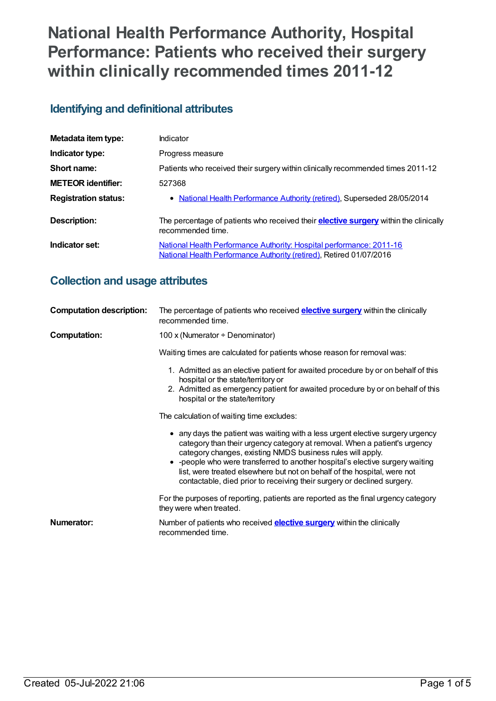# **National Health Performance Authority, Hospital Performance: Patients who received their surgery within clinically recommended times 2011-12**

## **Identifying and definitional attributes**

| Metadata item type:         | Indicator                                                                                                                                   |
|-----------------------------|---------------------------------------------------------------------------------------------------------------------------------------------|
| Indicator type:             | Progress measure                                                                                                                            |
| Short name:                 | Patients who received their surgery within clinically recommended times 2011-12                                                             |
| <b>METEOR identifier:</b>   | 527368                                                                                                                                      |
| <b>Registration status:</b> | • National Health Performance Authority (retired), Superseded 28/05/2014                                                                    |
| <b>Description:</b>         | The percentage of patients who received their <b>elective surgery</b> within the clinically<br>recommended time.                            |
| Indicator set:              | National Health Performance Authority: Hospital performance: 2011-16<br>National Health Performance Authority (retired), Retired 01/07/2016 |

## **Collection and usage attributes**

| <b>Computation description:</b> | The percentage of patients who received <b>elective surgery</b> within the clinically<br>recommended time.                                                                                                                                                                                                                                                                                                                                                         |  |  |  |  |
|---------------------------------|--------------------------------------------------------------------------------------------------------------------------------------------------------------------------------------------------------------------------------------------------------------------------------------------------------------------------------------------------------------------------------------------------------------------------------------------------------------------|--|--|--|--|
| <b>Computation:</b>             | 100 x (Numerator $\div$ Denominator)                                                                                                                                                                                                                                                                                                                                                                                                                               |  |  |  |  |
|                                 | Waiting times are calculated for patients whose reason for removal was:                                                                                                                                                                                                                                                                                                                                                                                            |  |  |  |  |
|                                 | 1. Admitted as an elective patient for awaited procedure by or on behalf of this<br>hospital or the state/territory or<br>2. Admitted as emergency patient for awaited procedure by or on behalf of this<br>hospital or the state/territory                                                                                                                                                                                                                        |  |  |  |  |
|                                 | The calculation of waiting time excludes:                                                                                                                                                                                                                                                                                                                                                                                                                          |  |  |  |  |
|                                 | • any days the patient was waiting with a less urgent elective surgery urgency<br>category than their urgency category at removal. When a patient's urgency<br>category changes, existing NMDS business rules will apply.<br>• - people who were transferred to another hospital's elective surgery waiting<br>list, were treated elsewhere but not on behalf of the hospital, were not<br>contactable, died prior to receiving their surgery or declined surgery. |  |  |  |  |
|                                 | For the purposes of reporting, patients are reported as the final urgency category<br>they were when treated.                                                                                                                                                                                                                                                                                                                                                      |  |  |  |  |
| Numerator:                      | Number of patients who received <b>elective surgery</b> within the clinically<br>recommended time.                                                                                                                                                                                                                                                                                                                                                                 |  |  |  |  |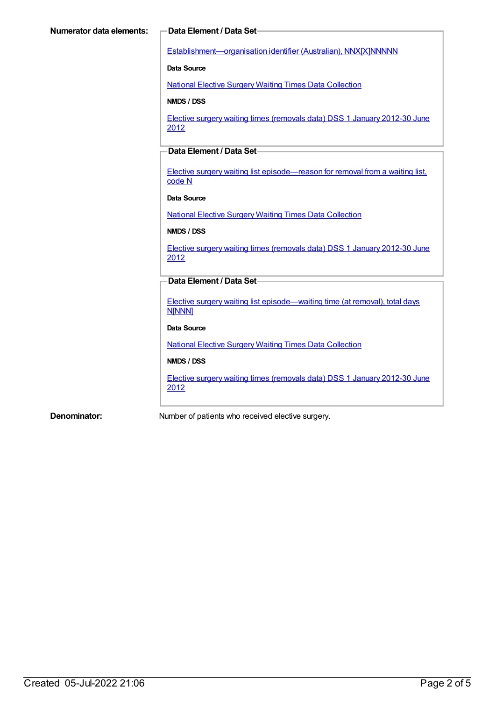[Establishment—organisation](https://meteor.aihw.gov.au/content/269973) identifier (Australian), NNX[X]NNNNN

**Data Source**

National Elective Surgery Waiting Times Data [Collection](https://meteor.aihw.gov.au/content/395071)

**NMDS / DSS**

Elective surgery waiting times [\(removals](https://meteor.aihw.gov.au/content/470097) data) DSS 1 January 2012-30 June 2012

### **Data Element / Data Set**

Elective surgery waiting list [episode—reason](https://meteor.aihw.gov.au/content/471735) for removal from a waiting list, code N

#### **Data Source**

National Elective Surgery Waiting Times Data [Collection](https://meteor.aihw.gov.au/content/395071)

#### **NMDS / DSS**

Elective surgery waiting times [\(removals](https://meteor.aihw.gov.au/content/470097) data) DSS 1 January 2012-30 June 2012

### **Data Element / Data Set**

Elective surgery waiting list [episode—waiting](https://meteor.aihw.gov.au/content/471744) time (at removal), total days **N[NNN]** 

#### **Data Source**

National Elective Surgery Waiting Times Data [Collection](https://meteor.aihw.gov.au/content/395071)

#### **NMDS / DSS**

Elective surgery waiting times [\(removals](https://meteor.aihw.gov.au/content/470097) data) DSS 1 January 2012-30 June 2012

**Denominator:** Number of patients who received elective surgery.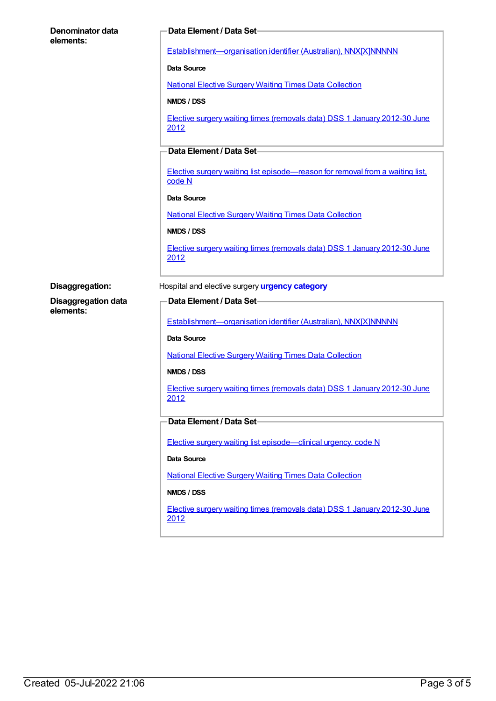| Denominator data           | Data Element / Data Set-                                                                |  |  |  |
|----------------------------|-----------------------------------------------------------------------------------------|--|--|--|
| elements:                  |                                                                                         |  |  |  |
|                            | Establishment-organisation identifier (Australian), NNX[X]NNNNN                         |  |  |  |
|                            | Data Source                                                                             |  |  |  |
|                            | <b>National Elective Surgery Waiting Times Data Collection</b>                          |  |  |  |
|                            | NMDS / DSS                                                                              |  |  |  |
|                            | Elective surgery waiting times (removals data) DSS 1 January 2012-30 June<br>2012       |  |  |  |
|                            | Data Element / Data Set-                                                                |  |  |  |
|                            | Elective surgery waiting list episode—reason for removal from a waiting list,<br>code N |  |  |  |
|                            | <b>Data Source</b>                                                                      |  |  |  |
|                            | <b>National Elective Surgery Waiting Times Data Collection</b>                          |  |  |  |
|                            | NMDS / DSS                                                                              |  |  |  |
|                            | Elective surgery waiting times (removals data) DSS 1 January 2012-30 June<br>2012       |  |  |  |
| Disaggregation:            | Hospital and elective surgery <b>urgency category</b>                                   |  |  |  |
| <b>Disaggregation data</b> | Data Element / Data Set-                                                                |  |  |  |
| elements:                  |                                                                                         |  |  |  |
|                            | Establishment-organisation identifier (Australian), NNX[X]NNNNN                         |  |  |  |
|                            | Data Source                                                                             |  |  |  |
|                            | <b>National Elective Surgery Waiting Times Data Collection</b>                          |  |  |  |
|                            | NMDS / DSS                                                                              |  |  |  |
|                            | Elective surgery waiting times (removals data) DSS 1 January 2012-30 June<br>2012       |  |  |  |
|                            |                                                                                         |  |  |  |
|                            | Data Element / Data Set-                                                                |  |  |  |
|                            |                                                                                         |  |  |  |
|                            | Elective surgery waiting list episode-clinical urgency, code N                          |  |  |  |
|                            | Data Source                                                                             |  |  |  |
|                            | <b>National Elective Surgery Waiting Times Data Collection</b>                          |  |  |  |
|                            | NMDS / DSS                                                                              |  |  |  |
|                            | Elective surgery waiting times (removals data) DSS 1 January 2012-30 June<br>2012       |  |  |  |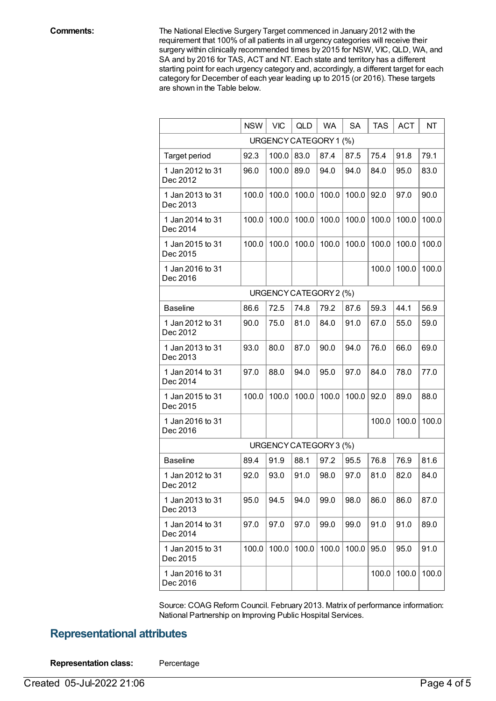**Comments:** The National Elective Surgery Target commenced in January 2012 with the requirement that 100% of all patients in all urgency categories will receive their surgery within clinically recommended times by 2015 for NSW, VIC, QLD, WA, and SA and by 2016 for TAS, ACT and NT. Each state and territory has a different starting point for each urgency category and, accordingly, a different target for each category for December of each year leading up to 2015 (or 2016). These targets are shown in the Table below.

|                              | <b>NSW</b> | <b>VIC</b> | <b>QLD</b>             | <b>WA</b> | <b>SA</b> | <b>TAS</b> | <b>ACT</b> | NT    |
|------------------------------|------------|------------|------------------------|-----------|-----------|------------|------------|-------|
| URGENCY CATEGORY 1 (%)       |            |            |                        |           |           |            |            |       |
| Target period                | 92.3       | 100.0      | 83.0                   | 87.4      | 87.5      | 75.4       | 91.8       | 79.1  |
| 1 Jan 2012 to 31<br>Dec 2012 | 96.0       | 100.0      | 89.0                   | 94.0      | 94.0      | 84.0       | 95.0       | 83.0  |
| 1 Jan 2013 to 31<br>Dec 2013 | 100.0      | 100.0      | 100.0                  | 100.0     | 100.0     | 92.0       | 97.0       | 90.0  |
| 1 Jan 2014 to 31<br>Dec 2014 | 100.0      | 100.0      | 100.0                  | 100.0     | 100.0     | 100.0      | 100.0      | 100.0 |
| 1 Jan 2015 to 31<br>Dec 2015 | 100.0      | 100.0      | 100.0                  | 100.0     | 100.0     | 100.0      | 100.0      | 100.0 |
| 1 Jan 2016 to 31<br>Dec 2016 |            |            |                        |           |           | 100.0      | 100.0      | 100.0 |
|                              |            |            | URGENCY CATEGORY 2 (%) |           |           |            |            |       |
| <b>Baseline</b>              | 86.6       | 72.5       | 74.8                   | 79.2      | 87.6      | 59.3       | 44.1       | 56.9  |
| 1 Jan 2012 to 31<br>Dec 2012 | 90.0       | 75.0       | 81.0                   | 84.0      | 91.0      | 67.0       | 55.0       | 59.0  |
| 1 Jan 2013 to 31<br>Dec 2013 | 93.0       | 80.0       | 87.0                   | 90.0      | 94.0      | 76.0       | 66.0       | 69.0  |
| 1 Jan 2014 to 31<br>Dec 2014 | 97.0       | 88.0       | 94.0                   | 95.0      | 97.0      | 84.0       | 78.0       | 77.0  |
| 1 Jan 2015 to 31<br>Dec 2015 | 100.0      | 100.0      | 100.0                  | 100.0     | 100.0     | 92.0       | 89.0       | 88.0  |
| 1 Jan 2016 to 31<br>Dec 2016 |            |            |                        |           |           | 100.0      | 100.0      | 100.0 |
|                              |            |            | URGENCY CATEGORY 3 (%) |           |           |            |            |       |
| <b>Baseline</b>              | 89.4       | 91.9       | 88.1                   | 97.2      | 95.5      | 76.8       | 76.9       | 81.6  |
| 1 Jan 2012 to 31<br>Dec 2012 | 92.0       | 93.0       | 91.0                   | 98.0      | 97.0      | 81.0       | 82.0       | 84.0  |
| 1 Jan 2013 to 31<br>Dec 2013 | 95.0       | 94.5       | 94.0                   | 99.0      | 98.0      | 86.0       | 86.0       | 87.0  |
| 1 Jan 2014 to 31<br>Dec 2014 | 97.0       | 97.0       | 97.0                   | 99.0      | 99.0      | 91.0       | 91.0       | 89.0  |
| 1 Jan 2015 to 31<br>Dec 2015 | 100.0      | 100.0      | 100.0                  | 100.0     | 100.0     | 95.0       | 95.0       | 91.0  |
| 1 Jan 2016 to 31<br>Dec 2016 |            |            |                        |           |           | 100.0      | 100.0      | 100.0 |

Source: COAG Reform Council. February 2013. Matrix of performance information: National Partnership on Improving Public Hospital Services.

## **Representational attributes**

**Representation class:** Percentage